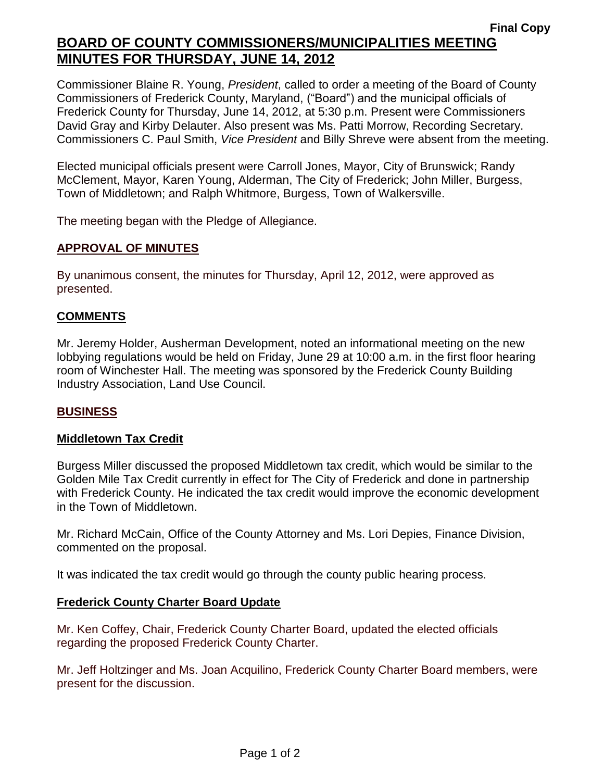# **Final Copy BOARD OF COUNTY COMMISSIONERS/MUNICIPALITIES MEETING MINUTES FOR THURSDAY, JUNE 14, 2012**

Commissioner Blaine R. Young, *President*, called to order a meeting of the Board of County Commissioners of Frederick County, Maryland, ("Board") and the municipal officials of Frederick County for Thursday, June 14, 2012, at 5:30 p.m. Present were Commissioners David Gray and Kirby Delauter. Also present was Ms. Patti Morrow, Recording Secretary. Commissioners C. Paul Smith, *Vice President* and Billy Shreve were absent from the meeting.

Elected municipal officials present were Carroll Jones, Mayor, City of Brunswick; Randy McClement, Mayor, Karen Young, Alderman, The City of Frederick; John Miller, Burgess, Town of Middletown; and Ralph Whitmore, Burgess, Town of Walkersville.

The meeting began with the Pledge of Allegiance.

### **APPROVAL OF MINUTES**

By unanimous consent, the minutes for Thursday, April 12, 2012, were approved as presented.

### **COMMENTS**

Mr. Jeremy Holder, Ausherman Development, noted an informational meeting on the new lobbying regulations would be held on Friday, June 29 at 10:00 a.m. in the first floor hearing room of Winchester Hall. The meeting was sponsored by the Frederick County Building Industry Association, Land Use Council.

### **BUSINESS**

### **Middletown Tax Credit**

Burgess Miller discussed the proposed Middletown tax credit, which would be similar to the Golden Mile Tax Credit currently in effect for The City of Frederick and done in partnership with Frederick County. He indicated the tax credit would improve the economic development in the Town of Middletown.

Mr. Richard McCain, Office of the County Attorney and Ms. Lori Depies, Finance Division, commented on the proposal.

It was indicated the tax credit would go through the county public hearing process.

### **Frederick County Charter Board Update**

Mr. Ken Coffey, Chair, Frederick County Charter Board, updated the elected officials regarding the proposed Frederick County Charter.

Mr. Jeff Holtzinger and Ms. Joan Acquilino, Frederick County Charter Board members, were present for the discussion.